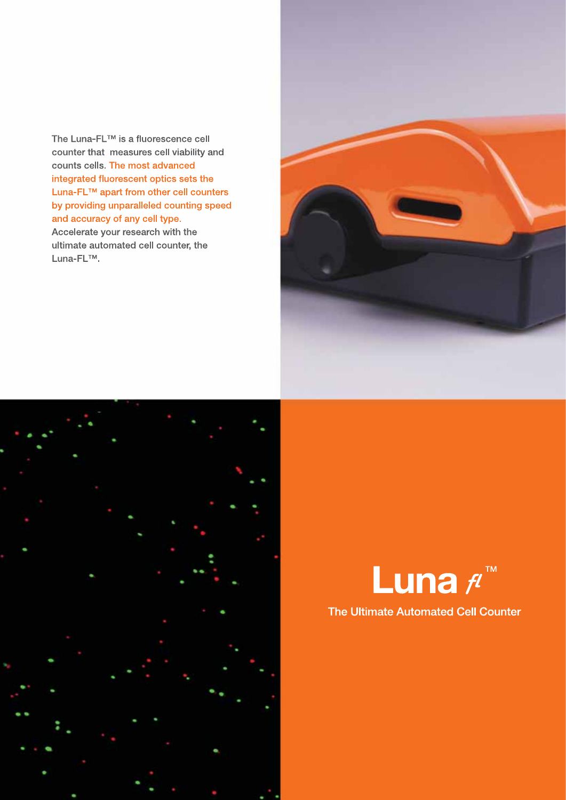The Luna-FL™ is a fluorescence cell counter that measures cell viability and counts cells. The most advanced integrated fluorescent optics sets the Luna-FL™ apart from other cell counters by providing unparalleled counting speed and accuracy of any cell type. Accelerate your research with the ultimate automated cell counter, the Luna-FL™.







### The Ultimate Automated Cell Counter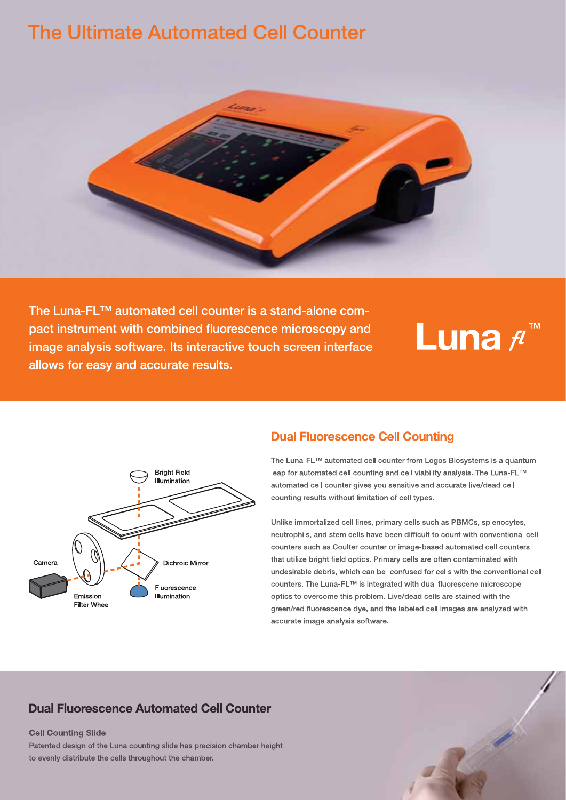# **The Ultimate Automated Cell Counter**



The Luna-FL™ automated cell counter is a stand-alone compact instrument with combined fluorescence microscopy and image analysis software. Its interactive touch screen interface allows for easy and accurate results.

# Luna fl



# **Dual Fluorescence Cell Counting**

The Luna-FL™ automated cell counter from Logos Biosystems is a quantum leap for automated cell counting and cell viability analysis. The Luna-FL™ automated cell counter gives you sensitive and accurate live/dead cell counting results without limitation of cell types.

Unlike immortalized cell lines, primary cells such as PBMCs, splenocytes, neutrophils, and stem cells have been difficult to count with conventional cell counters such as Coulter counter or image-based automated cell counters that utilize bright field optics. Primary cells are often contaminated with undesirable debris, which can be confused for cells with the conventional cell counters. The Luna-FL™ is integrated with dual fluorescene microscope optics to overcome this problem. Live/dead cells are stained with the green/red fluorescence dye, and the labeled cell images are analyzed with accurate image analysis software.

# **Dual Fluorescence Automated Cell Counter**

#### **Cell Counting Slide**

Patented design of the Luna counting slide has precision chamber height to evenly distribute the cells throughout the chamber.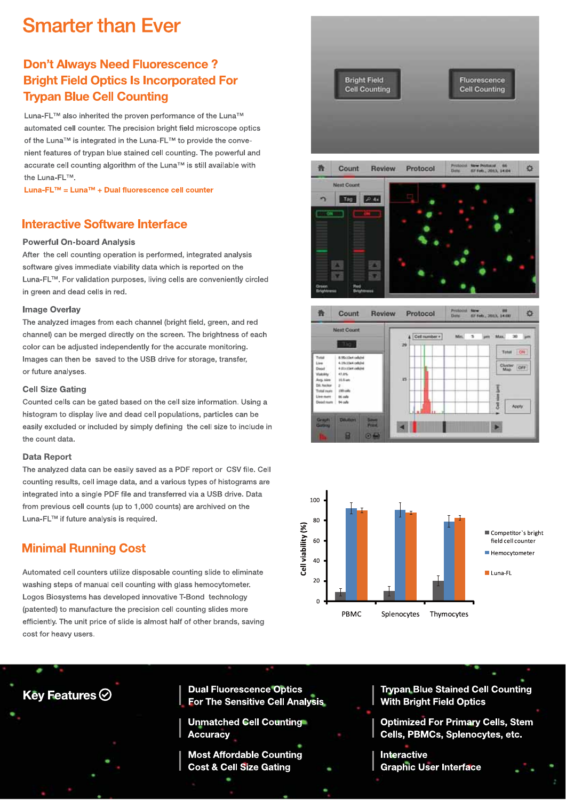# **Smarter than Ever**

# **Don't Always Need Fluorescence? Bright Field Optics Is Incorporated For Trypan Blue Cell Counting**

Luna-FL™ also inherited the proven performance of the Luna™ automated cell counter. The precision bright field microscope optics of the Luna™ is integrated in the Luna-FL™ to provide the convenient features of trypan blue stained cell counting. The powerful and accurate cell counting algorithm of the Luna™ is still available with the Luna-FL™

Luna-FL™ = Luna™ + Dual fluorescence cell counter

## **Interactive Software Interface**

#### **Powerful On-board Analysis**

After the cell counting operation is performed, integrated analysis software gives immediate viability data which is reported on the Luna-FL™. For validation purposes, living cells are conveniently circled in green and dead cells in red.

#### **Image Overlay**

The analyzed images from each channel (bright field, green, and red channel) can be merged directly on the screen. The brightness of each color can be adjusted independently for the accurate monitoring. Images can then be saved to the USB drive for storage, transfer, or future analyses.

#### **Cell Size Gating**

Counted cells can be gated based on the cell size information. Using a histogram to display live and dead cell populations, particles can be easily excluded or included by simply defining the cell size to include in the count data.

#### **Data Report**

The analyzed data can be easily saved as a PDF report or CSV file. Cell counting results, cell image data, and a various types of histograms are integrated into a single PDF file and transferred via a USB drive, Data from previous cell counts (up to 1,000 counts) are archived on the Luna-FL™ if future analysis is required.

# **Minimal Running Cost**

Automated cell counters utilize disposable counting slide to eliminate washing steps of manual cell counting with glass hemocytometer. Logos Biosystems has developed innovative T-Bond technology (patented) to manufacture the precision cell counting slides more efficiently. The unit price of slide is almost half of other brands, saving cost for heavy users.









Key Features  $\odot$ 

**Dual Fluorescence Optics For The Sensitive Cell Analysis** 

**Unmatched Cell Counting® Accuracy** 

**Most Affordable Counting Cost & Cell Size Gating** 

**Trypan Blue Stained Cell Counting With Bright Field Optics** 

**Optimized For Primary Cells, Stem** Cells, PBMCs, Splenocytes, etc.

**Interactive Graphic User Interface**